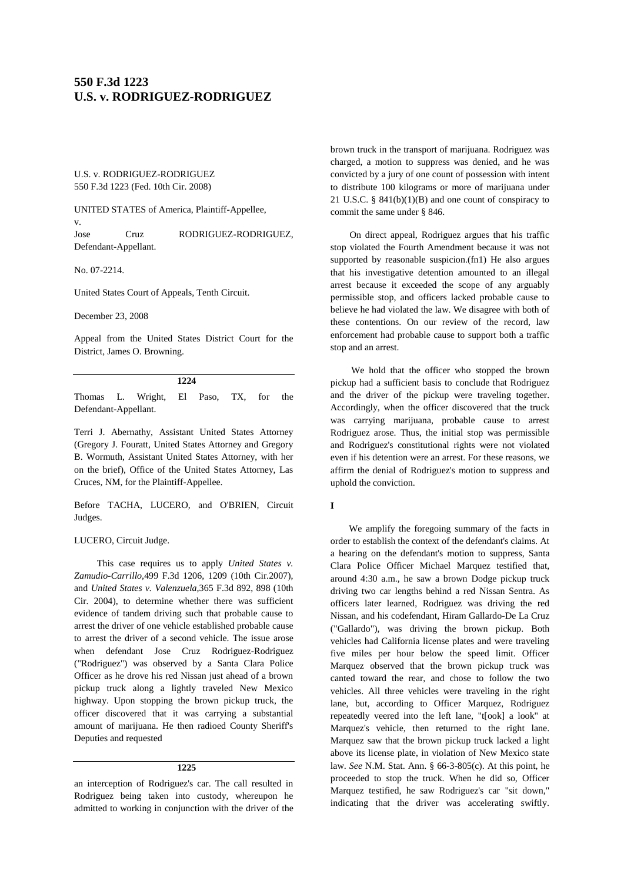# **550 F.3d 1223 U.S. v. RODRIGUEZ-RODRIGUEZ**

U.S. v. RODRIGUEZ-RODRIGUEZ 550 F.3d 1223 (Fed. 10th Cir. 2008)

UNITED STATES of America, Plaintiff-Appellee, v. Jose Cruz RODRIGUEZ-RODRIGUEZ,

Defendant-Appellant.

No. 07-2214.

United States Court of Appeals, Tenth Circuit.

December 23, 2008

Appeal from the United States District Court for the District, James O. Browning.

#### **1224**

Thomas L. Wright, El Paso, TX, for the Defendant-Appellant.

Terri J. Abernathy, Assistant United States Attorney (Gregory J. Fouratt, United States Attorney and Gregory B. Wormuth, Assistant United States Attorney, with her on the brief), Office of the United States Attorney, Las Cruces, NM, for the Plaintiff-Appellee.

Before TACHA, LUCERO, and O'BRIEN, Circuit Judges.

#### LUCERO, Circuit Judge.

This case requires us to apply *United States v. Zamudio-Carrillo,*499 F.3d 1206, 1209 (10th Cir.2007), and *United States v. Valenzuela,*365 F.3d 892, 898 (10th Cir. 2004), to determine whether there was sufficient evidence of tandem driving such that probable cause to arrest the driver of one vehicle established probable cause to arrest the driver of a second vehicle. The issue arose when defendant Jose Cruz Rodriguez-Rodriguez ("Rodriguez") was observed by a Santa Clara Police Officer as he drove his red Nissan just ahead of a brown pickup truck along a lightly traveled New Mexico highway. Upon stopping the brown pickup truck, the officer discovered that it was carrying a substantial amount of marijuana. He then radioed County Sheriff's Deputies and requested

#### **1225**

an interception of Rodriguez's car. The call resulted in Rodriguez being taken into custody, whereupon he admitted to working in conjunction with the driver of the

brown truck in the transport of marijuana. Rodriguez was charged, a motion to suppress was denied, and he was convicted by a jury of one count of possession with intent to distribute 100 kilograms or more of marijuana under 21 U.S.C. § 841(b)(1)(B) and one count of conspiracy to commit the same under § 846.

On direct appeal, Rodriguez argues that his traffic stop violated the Fourth Amendment because it was not supported by reasonable suspicion.(fn1) He also argues that his investigative detention amounted to an illegal arrest because it exceeded the scope of any arguably permissible stop, and officers lacked probable cause to believe he had violated the law. We disagree with both of these contentions. On our review of the record, law enforcement had probable cause to support both a traffic stop and an arrest.

We hold that the officer who stopped the brown pickup had a sufficient basis to conclude that Rodriguez and the driver of the pickup were traveling together. Accordingly, when the officer discovered that the truck was carrying marijuana, probable cause to arrest Rodriguez arose. Thus, the initial stop was permissible and Rodriguez's constitutional rights were not violated even if his detention were an arrest. For these reasons, we affirm the denial of Rodriguez's motion to suppress and uphold the conviction.

#### **I**

We amplify the foregoing summary of the facts in order to establish the context of the defendant's claims. At a hearing on the defendant's motion to suppress, Santa Clara Police Officer Michael Marquez testified that, around 4:30 a.m., he saw a brown Dodge pickup truck driving two car lengths behind a red Nissan Sentra. As officers later learned, Rodriguez was driving the red Nissan, and his codefendant, Hiram Gallardo-De La Cruz ("Gallardo"), was driving the brown pickup. Both vehicles had California license plates and were traveling five miles per hour below the speed limit. Officer Marquez observed that the brown pickup truck was canted toward the rear, and chose to follow the two vehicles. All three vehicles were traveling in the right lane, but, according to Officer Marquez, Rodriguez repeatedly veered into the left lane, "t[ook] a look" at Marquez's vehicle, then returned to the right lane. Marquez saw that the brown pickup truck lacked a light above its license plate, in violation of New Mexico state law. *See* N.M. Stat. Ann. § 66-3-805(c). At this point, he proceeded to stop the truck. When he did so, Officer Marquez testified, he saw Rodriguez's car "sit down," indicating that the driver was accelerating swiftly.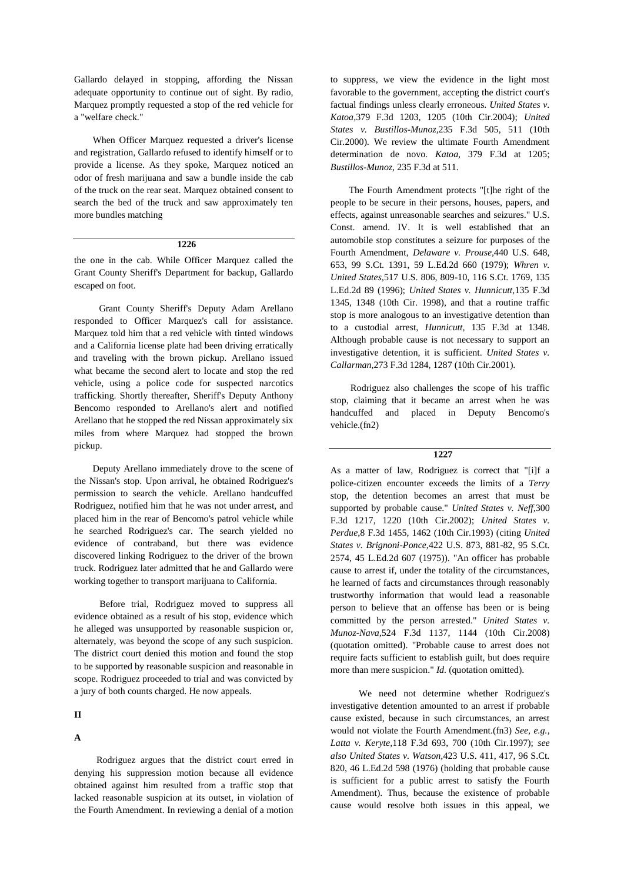Gallardo delayed in stopping, affording the Nissan adequate opportunity to continue out of sight. By radio, Marquez promptly requested a stop of the red vehicle for a "welfare check."

When Officer Marquez requested a driver's license and registration, Gallardo refused to identify himself or to provide a license. As they spoke, Marquez noticed an odor of fresh marijuana and saw a bundle inside the cab of the truck on the rear seat. Marquez obtained consent to search the bed of the truck and saw approximately ten more bundles matching

## **1226**

the one in the cab. While Officer Marquez called the Grant County Sheriff's Department for backup, Gallardo escaped on foot.

Grant County Sheriff's Deputy Adam Arellano responded to Officer Marquez's call for assistance. Marquez told him that a red vehicle with tinted windows and a California license plate had been driving erratically and traveling with the brown pickup. Arellano issued what became the second alert to locate and stop the red vehicle, using a police code for suspected narcotics trafficking. Shortly thereafter, Sheriff's Deputy Anthony Bencomo responded to Arellano's alert and notified Arellano that he stopped the red Nissan approximately six miles from where Marquez had stopped the brown pickup.

Deputy Arellano immediately drove to the scene of the Nissan's stop. Upon arrival, he obtained Rodriguez's permission to search the vehicle. Arellano handcuffed Rodriguez, notified him that he was not under arrest, and placed him in the rear of Bencomo's patrol vehicle while he searched Rodriguez's car. The search yielded no evidence of contraband, but there was evidence discovered linking Rodriguez to the driver of the brown truck. Rodriguez later admitted that he and Gallardo were working together to transport marijuana to California.

Before trial, Rodriguez moved to suppress all evidence obtained as a result of his stop, evidence which he alleged was unsupported by reasonable suspicion or, alternately, was beyond the scope of any such suspicion. The district court denied this motion and found the stop to be supported by reasonable suspicion and reasonable in scope. Rodriguez proceeded to trial and was convicted by a jury of both counts charged. He now appeals.

## **II**

#### **A**

Rodriguez argues that the district court erred in denying his suppression motion because all evidence obtained against him resulted from a traffic stop that lacked reasonable suspicion at its outset, in violation of the Fourth Amendment. In reviewing a denial of a motion

to suppress, we view the evidence in the light most favorable to the government, accepting the district court's factual findings unless clearly erroneous. *United States v. Katoa,*379 F.3d 1203, 1205 (10th Cir.2004); *United States v. Bustillos-Munoz,*235 F.3d 505, 511 (10th Cir.2000). We review the ultimate Fourth Amendment determination de novo. *Katoa,* 379 F.3d at 1205; *Bustillos-Munoz,* 235 F.3d at 511.

The Fourth Amendment protects "[t]he right of the people to be secure in their persons, houses, papers, and effects, against unreasonable searches and seizures." U.S. Const. amend. IV. It is well established that an automobile stop constitutes a seizure for purposes of the Fourth Amendment, *Delaware v. Prouse,*440 U.S. 648, 653, 99 S.Ct. 1391, 59 L.Ed.2d 660 (1979); *Whren v. United States,*517 U.S. 806, 809-10, 116 S.Ct. 1769, 135 L.Ed.2d 89 (1996); *United States v. Hunnicutt,*135 F.3d 1345, 1348 (10th Cir. 1998), and that a routine traffic stop is more analogous to an investigative detention than to a custodial arrest, *Hunnicutt,* 135 F.3d at 1348. Although probable cause is not necessary to support an investigative detention, it is sufficient. *United States v. Callarman,*273 F.3d 1284, 1287 (10th Cir.2001).

Rodriguez also challenges the scope of his traffic stop, claiming that it became an arrest when he was handcuffed and placed in Deputy Bencomo's vehicle.(fn2)

## **1227**

As a matter of law, Rodriguez is correct that "[i]f a police-citizen encounter exceeds the limits of a *Terry* stop, the detention becomes an arrest that must be supported by probable cause." *United States v. Neff,*300 F.3d 1217, 1220 (10th Cir.2002); *United States v. Perdue,*8 F.3d 1455, 1462 (10th Cir.1993) (citing *United States v. Brignoni-Ponce,*422 U.S. 873, 881-82, 95 S.Ct. 2574, 45 L.Ed.2d 607 (1975)). "An officer has probable cause to arrest if, under the totality of the circumstances, he learned of facts and circumstances through reasonably trustworthy information that would lead a reasonable person to believe that an offense has been or is being committed by the person arrested." *United States v. Munoz-Nava,*524 F.3d 1137, 1144 (10th Cir.2008) (quotation omitted). "Probable cause to arrest does not require facts sufficient to establish guilt, but does require more than mere suspicion." *Id.* (quotation omitted).

We need not determine whether Rodriguez's investigative detention amounted to an arrest if probable cause existed, because in such circumstances, an arrest would not violate the Fourth Amendment.(fn3) *See, e.g., Latta v. Keryte,*118 F.3d 693, 700 (10th Cir.1997); *see also United States v. Watson,*423 U.S. 411, 417, 96 S.Ct. 820, 46 L.Ed.2d 598 (1976) (holding that probable cause is sufficient for a public arrest to satisfy the Fourth Amendment). Thus, because the existence of probable cause would resolve both issues in this appeal, we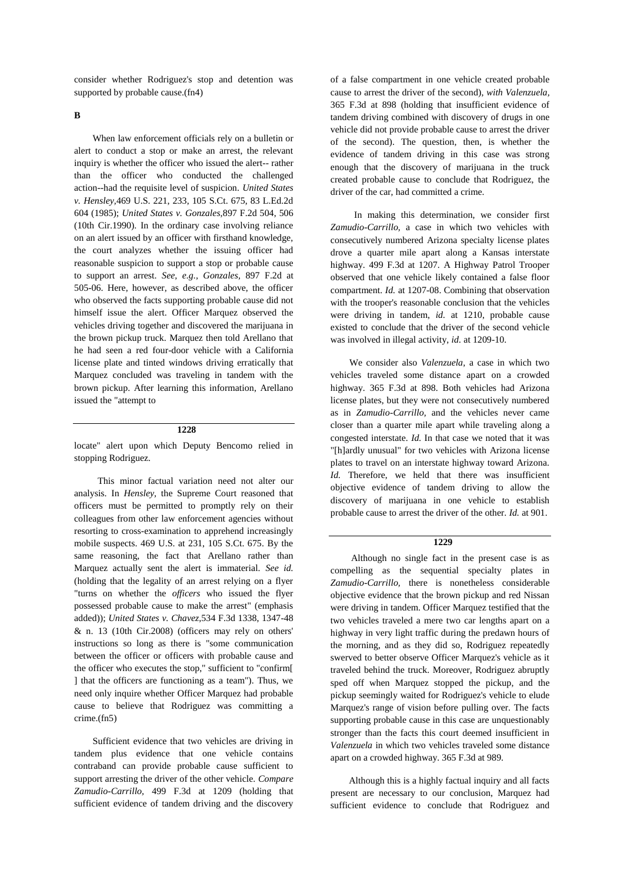consider whether Rodriguez's stop and detention was supported by probable cause.(fn4)

**B**

When law enforcement officials rely on a bulletin or alert to conduct a stop or make an arrest, the relevant inquiry is whether the officer who issued the alert-- rather than the officer who conducted the challenged action--had the requisite level of suspicion. *United States v. Hensley,*469 U.S. 221, 233, 105 S.Ct. 675, 83 L.Ed.2d 604 (1985); *United States v. Gonzales,*897 F.2d 504, 506 (10th Cir.1990). In the ordinary case involving reliance on an alert issued by an officer with firsthand knowledge, the court analyzes whether the issuing officer had reasonable suspicion to support a stop or probable cause to support an arrest. *See, e.g., Gonzales,* 897 F.2d at 505-06. Here, however, as described above, the officer who observed the facts supporting probable cause did not himself issue the alert. Officer Marquez observed the vehicles driving together and discovered the marijuana in the brown pickup truck. Marquez then told Arellano that he had seen a red four-door vehicle with a California license plate and tinted windows driving erratically that Marquez concluded was traveling in tandem with the brown pickup. After learning this information, Arellano issued the "attempt to

## **1228**

locate" alert upon which Deputy Bencomo relied in stopping Rodriguez.

This minor factual variation need not alter our analysis. In *Hensley,* the Supreme Court reasoned that officers must be permitted to promptly rely on their colleagues from other law enforcement agencies without resorting to cross-examination to apprehend increasingly mobile suspects. 469 U.S. at 231, 105 S.Ct. 675. By the same reasoning, the fact that Arellano rather than Marquez actually sent the alert is immaterial. *See id.* (holding that the legality of an arrest relying on a flyer "turns on whether the *officers* who issued the flyer possessed probable cause to make the arrest" (emphasis added)); *United States v. Chavez,*534 F.3d 1338, 1347-48 & n. 13 (10th Cir.2008) (officers may rely on others' instructions so long as there is "some communication between the officer or officers with probable cause and the officer who executes the stop," sufficient to "confirm[ ] that the officers are functioning as a team"). Thus, we need only inquire whether Officer Marquez had probable cause to believe that Rodriguez was committing a crime.(fn5)

Sufficient evidence that two vehicles are driving in tandem plus evidence that one vehicle contains contraband can provide probable cause sufficient to support arresting the driver of the other vehicle. *Compare Zamudio-Carrillo,* 499 F.3d at 1209 (holding that sufficient evidence of tandem driving and the discovery

of a false compartment in one vehicle created probable cause to arrest the driver of the second), *with Valenzuela,* 365 F.3d at 898 (holding that insufficient evidence of tandem driving combined with discovery of drugs in one vehicle did not provide probable cause to arrest the driver of the second). The question, then, is whether the evidence of tandem driving in this case was strong enough that the discovery of marijuana in the truck created probable cause to conclude that Rodriguez, the driver of the car, had committed a crime.

In making this determination, we consider first *Zamudio-Carrillo,* a case in which two vehicles with consecutively numbered Arizona specialty license plates drove a quarter mile apart along a Kansas interstate highway. 499 F.3d at 1207. A Highway Patrol Trooper observed that one vehicle likely contained a false floor compartment. *Id.* at 1207-08. Combining that observation with the trooper's reasonable conclusion that the vehicles were driving in tandem, *id.* at 1210, probable cause existed to conclude that the driver of the second vehicle was involved in illegal activity, *id.* at 1209-10.

We consider also *Valenzuela,* a case in which two vehicles traveled some distance apart on a crowded highway. 365 F.3d at 898. Both vehicles had Arizona license plates, but they were not consecutively numbered as in *Zamudio-Carrillo,* and the vehicles never came closer than a quarter mile apart while traveling along a congested interstate. *Id.* In that case we noted that it was "[h]ardly unusual" for two vehicles with Arizona license plates to travel on an interstate highway toward Arizona. *Id.* Therefore, we held that there was insufficient objective evidence of tandem driving to allow the discovery of marijuana in one vehicle to establish probable cause to arrest the driver of the other. *Id.* at 901.

## **1229**

Although no single fact in the present case is as compelling as the sequential specialty plates in *Zamudio-Carrillo,* there is nonetheless considerable objective evidence that the brown pickup and red Nissan were driving in tandem. Officer Marquez testified that the two vehicles traveled a mere two car lengths apart on a highway in very light traffic during the predawn hours of the morning, and as they did so, Rodriguez repeatedly swerved to better observe Officer Marquez's vehicle as it traveled behind the truck. Moreover, Rodriguez abruptly sped off when Marquez stopped the pickup, and the pickup seemingly waited for Rodriguez's vehicle to elude Marquez's range of vision before pulling over. The facts supporting probable cause in this case are unquestionably stronger than the facts this court deemed insufficient in *Valenzuela* in which two vehicles traveled some distance apart on a crowded highway. 365 F.3d at 989.

Although this is a highly factual inquiry and all facts present are necessary to our conclusion, Marquez had sufficient evidence to conclude that Rodriguez and